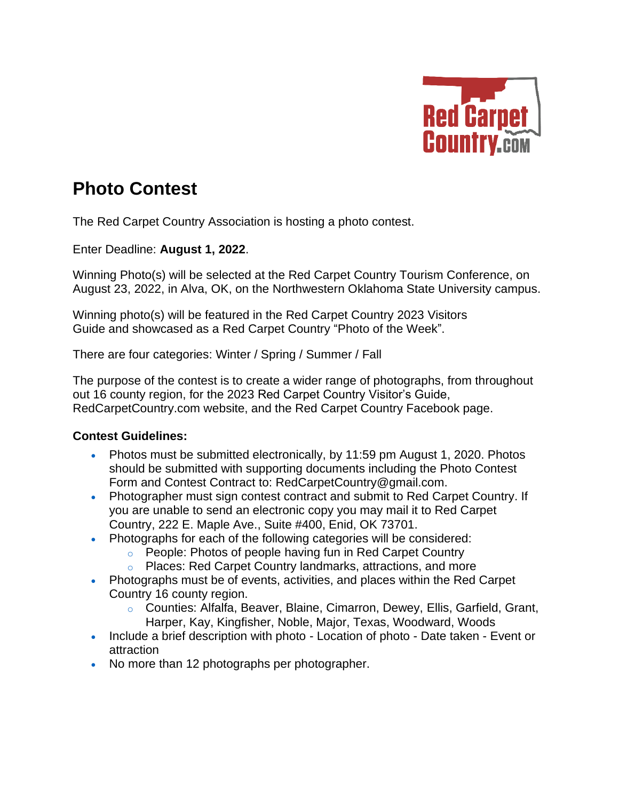

## **Photo Contest**

The Red Carpet Country Association is hosting a photo contest.

Enter Deadline: **August 1, 2022**.

Winning Photo(s) will be selected at the Red Carpet Country Tourism Conference, on August 23, 2022, in Alva, OK, on the Northwestern Oklahoma State University campus.

Winning photo(s) will be featured in the Red Carpet Country 2023 Visitors Guide and showcased as a Red Carpet Country "Photo of the Week".

There are four categories: Winter / Spring / Summer / Fall

The purpose of the contest is to create a wider range of photographs, from throughout out 16 county region, for the 2023 Red Carpet Country Visitor's Guide, RedCarpetCountry.com website, and the Red Carpet Country Facebook page.

## **Contest Guidelines:**

- Photos must be submitted electronically, by 11:59 pm August 1, 2020. Photos should be submitted with supporting documents including the Photo Contest Form and Contest Contract to: RedCarpetCountry@gmail.com.
- Photographer must sign contest contract and submit to Red Carpet Country. If you are unable to send an electronic copy you may mail it to Red Carpet Country, 222 E. Maple Ave., Suite #400, Enid, OK 73701.
- Photographs for each of the following categories will be considered:
	- o People: Photos of people having fun in Red Carpet Country
	- o Places: Red Carpet Country landmarks, attractions, and more
- Photographs must be of events, activities, and places within the Red Carpet Country 16 county region.
	- o Counties: Alfalfa, Beaver, Blaine, Cimarron, Dewey, Ellis, Garfield, Grant, Harper, Kay, Kingfisher, Noble, Major, Texas, Woodward, Woods
- Include a brief description with photo Location of photo Date taken Event or attraction
- No more than 12 photographs per photographer.